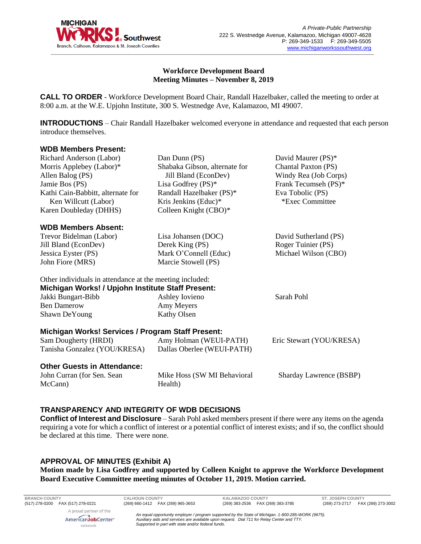

David Maurer (PS)\*

## **Workforce Development Board Meeting Minutes – November 8, 2019**

**CALL TO ORDER** - Workforce Development Board Chair, Randall Hazelbaker, called the meeting to order at 8:00 a.m. at the W.E. Upjohn Institute, 300 S. Westnedge Ave, Kalamazoo, MI 49007.

**INTRODUCTIONS** – Chair Randall Hazelbaker welcomed everyone in attendance and requested that each person introduce themselves.

Dan Dunn (PS)

#### **WDB Members Present:** Richard Anderson (Labor)

| <b>INIGHALU AHUGISOH</b> (LADOL)                         | $\mu$ an $\mu$ unii (1 9)              | $D$ aviu Iviaului (1 $D$ )     |
|----------------------------------------------------------|----------------------------------------|--------------------------------|
| Morris Applebey (Labor)*                                 | Shabaka Gibson, alternate for          | <b>Chantal Paxton (PS)</b>     |
| Allen Balog (PS)                                         | Jill Bland (EconDev)                   | Windy Rea (Job Corps)          |
| Jamie Bos (PS)                                           | Lisa Godfrey $(PS)^*$                  | Frank Tecumseh (PS)*           |
| Kathi Cain-Babbitt, alternate for                        | Randall Hazelbaker (PS)*               | Eva Tobolic (PS)               |
| Ken Willcutt (Labor)                                     | Kris Jenkins (Educ)*                   | *Exec Committee                |
| Karen Doubleday (DHHS)                                   | Colleen Knight (CBO)*                  |                                |
| <b>WDB Members Absent:</b>                               |                                        |                                |
| Trevor Bidelman (Labor)                                  | Lisa Johansen (DOC)                    | David Sutherland (PS)          |
| Jill Bland (EconDev)                                     | Derek King (PS)                        | Roger Tuinier (PS)             |
| Jessica Eyster (PS)                                      | Mark O'Connell (Educ)                  | Michael Wilson (CBO)           |
| John Fiore (MRS)                                         | Marcie Stowell (PS)                    |                                |
| Other individuals in attendance at the meeting included: |                                        |                                |
| Michigan Works! / Upjohn Institute Staff Present:        |                                        |                                |
| Jakki Bungart-Bibb                                       | Ashley Iovieno                         | Sarah Pohl                     |
| <b>Ben Damerow</b>                                       | Amy Meyers                             |                                |
| Shawn DeYoung                                            | <b>Kathy Olsen</b>                     |                                |
| Michigan Works! Services / Program Staff Present:        |                                        |                                |
| Sam Dougherty (HRDI)                                     | Amy Holman (WEUI-PATH)                 | Eric Stewart (YOU/KRESA)       |
| Tanisha Gonzalez (YOU/KRESA)                             | Dallas Oberlee (WEUI-PATH)             |                                |
| <b>Other Guests in Attendance:</b>                       |                                        |                                |
| John Curran (for Sen. Sean<br>McCann)                    | Mike Hoss (SW MI Behavioral<br>Health) | <b>Sharday Lawrence (BSBP)</b> |
|                                                          |                                        |                                |

# **TRANSPARENCY AND INTEGRITY OF WDB DECISIONS**

**Conflict of Interest and Disclosure** – Sarah Pohl asked members present if there were any items on the agenda requiring a vote for which a conflict of interest or a potential conflict of interest exists; and if so, the conflict should be declared at this time. There were none.

# **APPROVAL OF MINUTES (Exhibit A)**

AmericanJobCenter\* network

**Motion made by Lisa Godfrey and supported by Colleen Knight to approve the Workforce Development Board Executive Committee meeting minutes of October 11, 2019. Motion carried.** 

**BRANCH COUNTY CALHOUN COUNTY KALAMAZOO COUNTY ST. JOSEPH COUNTY** A proud partner of the

(269) 273-2717 FAX (269) 273-3002

*An equal opportunity employer / program supported by the State of Michigan. 1-800-285-WORK (9675). Auxiliary aids and services are available upon request. Dial 711 for Relay Center and TTY. Supported in part with state and/or federal funds.*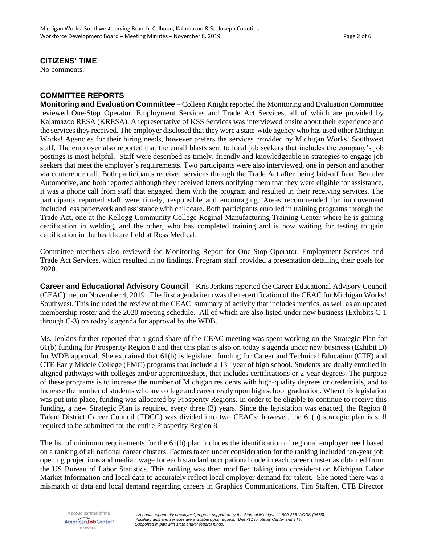# **CITIZENS' TIME**

No comments.

#### **COMMITTEE REPORTS**

**Monitoring and Evaluation Committee –** Colleen Knight reported the Monitoring and Evaluation Committee reviewed One-Stop Operator, Employment Services and Trade Act Services, all of which are provided by Kalamazoo RESA (KRESA). A representative of KSS Services was interviewed onsite about their experience and the services they received. The employer disclosed that they were a state-wide agency who has used other Michigan Works! Agencies for their hiring needs, however prefers the services provided by Michigan Works! Southwest staff. The employer also reported that the email blasts sent to local job seekers that includes the company's job postings is most helpful. Staff were described as timely, friendly and knowledgeable in strategies to engage job seekers that meet the employer's requirements. Two participants were also interviewed, one in person and another via conference call. Both participants received services through the Trade Act after being laid-off from Benteler Automotive, and both reported although they received letters notifying them that they were eligible for assistance, it was a phone call from staff that engaged them with the program and resulted in their receiving services. The participants reported staff were timely, responsible and encouraging. Areas recommended for improvement included less paperwork and assistance with childcare. Both participants enrolled in training programs through the Trade Act, one at the Kellogg Community College Reginal Manufacturing Training Center where he is gaining certification in welding, and the other, who has completed training and is now waiting for testing to gain certification in the healthcare field at Ross Medical.

Committee members also reviewed the Monitoring Report for One-Stop Operator, Employment Services and Trade Act Services, which resulted in no findings. Program staff provided a presentation detailing their goals for 2020.

**Career and Educational Advisory Council –** Kris Jenkins reported the Career Educational Advisory Council (CEAC) met on November 4, 2019. The first agenda item was the recertification of the CEAC for Michigan Works! Southwest. This included the review of the CEAC summary of activity that includes metrics, as well as an updated membership roster and the 2020 meeting schedule. All of which are also listed under new business (Exhibits C-1 through C-3) on today's agenda for approval by the WDB.

Ms. Jenkins further reported that a good share of the CEAC meeting was spent working on the Strategic Plan for 61(b) funding for Prosperity Region 8 and that this plan is also on today's agenda under new business (Exhibit D) for WDB approval. She explained that 61(b) is legislated funding for Career and Technical Education (CTE) and CTE Early Middle College (EMC) programs that include a 13<sup>th</sup> year of high school. Students are dually enrolled in aligned pathways with colleges and/or apprenticeships, that includes certifications or 2-year degrees. The purpose of these programs is to increase the number of Michigan residents with high-quality degrees or credentials, and to increase the number of students who are college and career ready upon high school graduation. When thislegislation was put into place, funding was allocated by Prosperity Regions. In order to be eligible to continue to receive this funding, a new Strategic Plan is required every three (3) years. Since the legislation was enacted, the Region 8 Talent District Career Council (TDCC) was divided into two CEACs; however, the 61(b) strategic plan is still required to be submitted for the entire Prosperity Region 8.

The list of minimum requirements for the 61(b) plan includes the identification of regional employer need based on a ranking of all national career clusters. Factors taken under consideration for the ranking included ten-year job opening projections and median wage for each standard occupational code in each career cluster as obtained from the US Bureau of Labor Statistics. This ranking was then modified taking into consideration Michigan Labor Market Information and local data to accurately reflect local employer demand for talent. She noted there was a mismatch of data and local demand regarding careers in Graphics Communications. Tim Staffen, CTE Director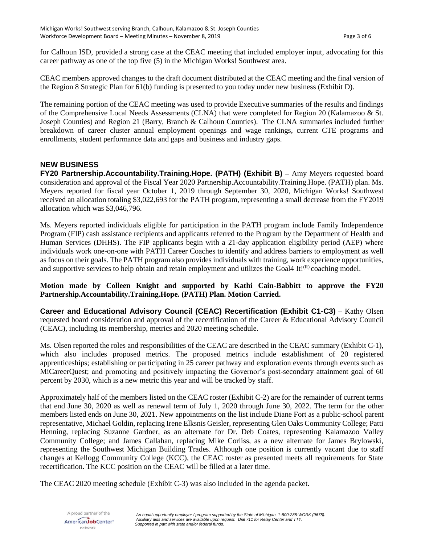for Calhoun ISD, provided a strong case at the CEAC meeting that included employer input, advocating for this career pathway as one of the top five (5) in the Michigan Works! Southwest area.

CEAC members approved changes to the draft document distributed at the CEAC meeting and the final version of the Region 8 Strategic Plan for 61(b) funding is presented to you today under new business (Exhibit D).

The remaining portion of the CEAC meeting was used to provide Executive summaries of the results and findings of the Comprehensive Local Needs Assessments (CLNA) that were completed for Region 20 (Kalamazoo & St. Joseph Counties) and Region 21 (Barry, Branch & Calhoun Counties). The CLNA summaries included further breakdown of career cluster annual employment openings and wage rankings, current CTE programs and enrollments, student performance data and gaps and business and industry gaps.

# **NEW BUSINESS**

**FY20 Partnership.Accountability.Training.Hope. (PATH) (Exhibit B)** *–* Amy Meyers requested board consideration and approval of the Fiscal Year 2020 Partnership.Accountability.Training.Hope. (PATH) plan. Ms. Meyers reported for fiscal year October 1, 2019 through September 30, 2020, Michigan Works! Southwest received an allocation totaling \$3,022,693 for the PATH program, representing a small decrease from the FY2019 allocation which was \$3,046,796.

Ms. Meyers reported individuals eligible for participation in the PATH program include Family Independence Program (FIP) cash assistance recipients and applicants referred to the Program by the Department of Health and Human Services (DHHS). The FIP applicants begin with a 21-day application eligibility period (AEP) where individuals work one-on-one with PATH Career Coaches to identify and address barriers to employment as well as focus on their goals. The PATH program also provides individuals with training, work experience opportunities, and supportive services to help obtain and retain employment and utilizes the Goal4 It! $(R)$  coaching model.

# **Motion made by Colleen Knight and supported by Kathi Cain-Babbitt to approve the FY20 Partnership.Accountability.Training.Hope. (PATH) Plan. Motion Carried.**

**Career and Educational Advisory Council (CEAC) Recertification (Exhibit C1-C3)** *–* Kathy Olsen requested board consideration and approval of the recertification of the Career & Educational Advisory Council (CEAC), including its membership, metrics and 2020 meeting schedule.

Ms. Olsen reported the roles and responsibilities of the CEAC are described in the CEAC summary (Exhibit C-1), which also includes proposed metrics. The proposed metrics include establishment of 20 registered apprenticeships; establishing or participating in 25 career pathway and exploration events through events such as MiCareerQuest; and promoting and positively impacting the Governor's post-secondary attainment goal of 60 percent by 2030, which is a new metric this year and will be tracked by staff.

Approximately half of the members listed on the CEAC roster (Exhibit C-2) are for the remainder of current terms that end June 30, 2020 as well as renewal term of July 1, 2020 through June 30, 2022. The term for the other members listed ends on June 30, 2021. New appointments on the list include Diane Fort as a public-school parent representative, Michael Goldin, replacing Irene Elksnis Geisler, representing Glen Oaks Community College; Patti Henning, replacing Suzanne Gardner, as an alternate for Dr. Deb Coates, representing Kalamazoo Valley Community College; and James Callahan, replacing Mike Corliss, as a new alternate for James Brylowski, representing the Southwest Michigan Building Trades. Although one position is currently vacant due to staff changes at Kellogg Community College (KCC), the CEAC roster as presented meets all requirements for State recertification. The KCC position on the CEAC will be filled at a later time.

The CEAC 2020 meeting schedule (Exhibit C-3) was also included in the agenda packet.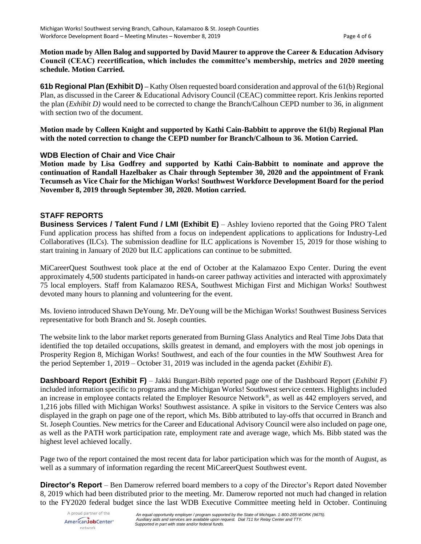**Motion made by Allen Balog and supported by David Maurer to approve the Career & Education Advisory Council (CEAC) recertification, which includes the committee's membership, metrics and 2020 meeting schedule. Motion Carried.**

**61b Regional Plan (Exhibit D)** *–* Kathy Olsen requested board consideration and approval of the 61(b) Regional Plan, as discussed in the Career & Educational Advisory Council (CEAC) committee report. Kris Jenkins reported the plan (*Exhibit D)* would need to be corrected to change the Branch/Calhoun CEPD number to 36, in alignment with section two of the document.

**Motion made by Colleen Knight and supported by Kathi Cain-Babbitt to approve the 61(b) Regional Plan with the noted correction to change the CEPD number for Branch/Calhoun to 36. Motion Carried.** 

# **WDB Election of Chair and Vice Chair**

**Motion made by Lisa Godfrey and supported by Kathi Cain-Babbitt to nominate and approve the continuation of Randall Hazelbaker as Chair through September 30, 2020 and the appointment of Frank Tecumseh as Vice Chair for the Michigan Works! Southwest Workforce Development Board for the period November 8, 2019 through September 30, 2020. Motion carried.** 

# **STAFF REPORTS**

**Business Services / Talent Fund / LMI (Exhibit E)** – Ashley Iovieno reported that the Going PRO Talent Fund application process has shifted from a focus on independent applications to applications for Industry-Led Collaboratives (ILCs). The submission deadline for ILC applications is November 15, 2019 for those wishing to start training in January of 2020 but ILC applications can continue to be submitted.

MiCareerQuest Southwest took place at the end of October at the Kalamazoo Expo Center. During the event approximately 4,500 students participated in hands-on career pathway activities and interacted with approximately 75 local employers. Staff from Kalamazoo RESA, Southwest Michigan First and Michigan Works! Southwest devoted many hours to planning and volunteering for the event.

Ms. Iovieno introduced Shawn DeYoung. Mr. DeYoung will be the Michigan Works! Southwest Business Services representative for both Branch and St. Joseph counties.

The website link to the labor market reports generated from Burning Glass Analytics and Real Time Jobs Data that identified the top detailed occupations, skills greatest in demand, and employers with the most job openings in Prosperity Region 8, Michigan Works! Southwest, and each of the four counties in the MW Southwest Area for the period September 1, 2019 – October 31, 2019 was included in the agenda packet (*Exhibit E*).

**Dashboard Report (Exhibit F)** – Jakki Bungart-Bibb reported page one of the Dashboard Report (*Exhibit F*) included information specific to programs and the Michigan Works! Southwest service centers. Highlights included an increase in employee contacts related the Employer Resource Network®, as well as 442 employers served, and 1,216 jobs filled with Michigan Works! Southwest assistance. A spike in visitors to the Service Centers was also displayed in the graph on page one of the report, which Ms. Bibb attributed to lay-offs that occurred in Branch and St. Joseph Counties. New metrics for the Career and Educational Advisory Council were also included on page one, as well as the PATH work participation rate, employment rate and average wage, which Ms. Bibb stated was the highest level achieved locally.

Page two of the report contained the most recent data for labor participation which was for the month of August, as well as a summary of information regarding the recent MiCareerQuest Southwest event.

**Director's Report** – Ben Damerow referred board members to a copy of the Director's Report dated November 8, 2019 which had been distributed prior to the meeting. Mr. Damerow reported not much had changed in relation to the FY2020 federal budget since the last WDB Executive Committee meeting held in October. Continuing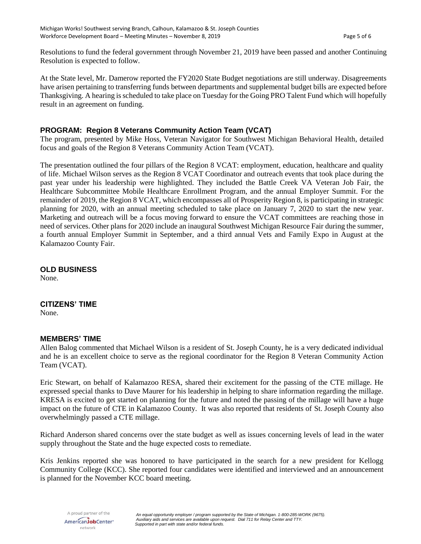Resolutions to fund the federal government through November 21, 2019 have been passed and another Continuing Resolution is expected to follow.

At the State level, Mr. Damerow reported the FY2020 State Budget negotiations are still underway. Disagreements have arisen pertaining to transferring funds between departments and supplemental budget bills are expected before Thanksgiving. A hearing is scheduled to take place on Tuesday for the Going PRO Talent Fund which will hopefully result in an agreement on funding.

# **PROGRAM: Region 8 Veterans Community Action Team (VCAT)**

The program, presented by Mike Hoss, Veteran Navigator for Southwest Michigan Behavioral Health, detailed focus and goals of the Region 8 Veterans Community Action Team (VCAT).

The presentation outlined the four pillars of the Region 8 VCAT: employment, education, healthcare and quality of life. Michael Wilson serves as the Region 8 VCAT Coordinator and outreach events that took place during the past year under his leadership were highlighted. They included the Battle Creek VA Veteran Job Fair, the Healthcare Subcommittee Mobile Healthcare Enrollment Program, and the annual Employer Summit. For the remainder of 2019, the Region 8 VCAT, which encompasses all of Prosperity Region 8, is participating in strategic planning for 2020, with an annual meeting scheduled to take place on January 7, 2020 to start the new year. Marketing and outreach will be a focus moving forward to ensure the VCAT committees are reaching those in need of services. Other plans for 2020 include an inaugural Southwest Michigan Resource Fair during the summer, a fourth annual Employer Summit in September, and a third annual Vets and Family Expo in August at the Kalamazoo County Fair.

# **OLD BUSINESS**

None.

## **CITIZENS' TIME**

None.

#### **MEMBERS' TIME**

Allen Balog commented that Michael Wilson is a resident of St. Joseph County, he is a very dedicated individual and he is an excellent choice to serve as the regional coordinator for the Region 8 Veteran Community Action Team (VCAT).

Eric Stewart, on behalf of Kalamazoo RESA, shared their excitement for the passing of the CTE millage. He expressed special thanks to Dave Maurer for his leadership in helping to share information regarding the millage. KRESA is excited to get started on planning for the future and noted the passing of the millage will have a huge impact on the future of CTE in Kalamazoo County. It was also reported that residents of St. Joseph County also overwhelmingly passed a CTE millage.

Richard Anderson shared concerns over the state budget as well as issues concerning levels of lead in the water supply throughout the State and the huge expected costs to remediate.

Kris Jenkins reported she was honored to have participated in the search for a new president for Kellogg Community College (KCC). She reported four candidates were identified and interviewed and an announcement is planned for the November KCC board meeting.